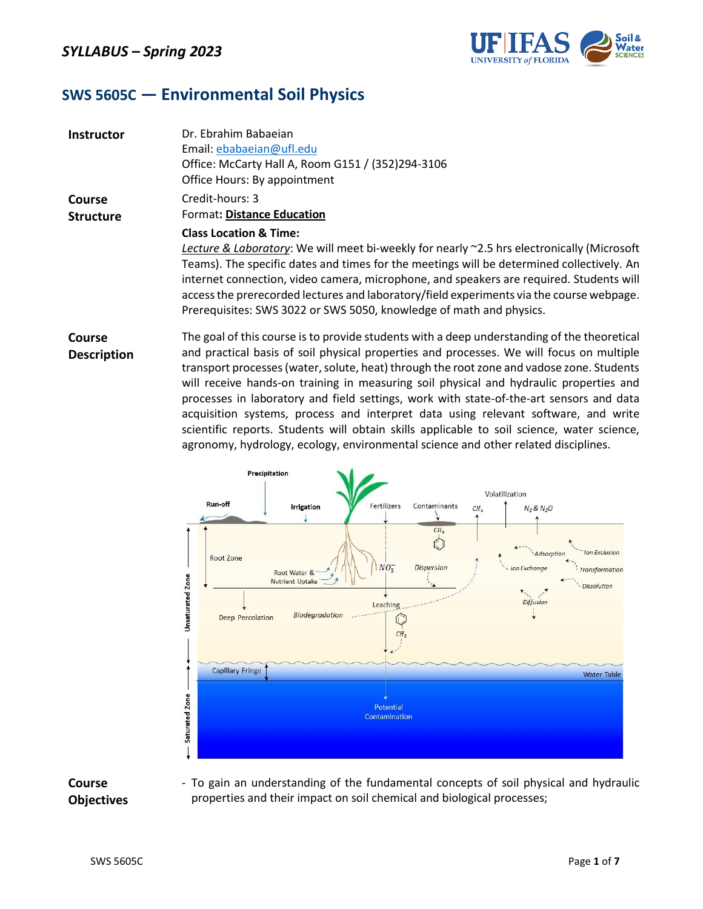

### **SWS 5605C ― Environmental Soil Physics**

| <b>Instructor</b>          | Dr. Ebrahim Babaejan<br>Email: ebabaeian@ufl.edu<br>Office: McCarty Hall A, Room G151 / (352)294-3106<br>Office Hours: By appointment                                                                                                                                                                                                                                                                                                                                                      |
|----------------------------|--------------------------------------------------------------------------------------------------------------------------------------------------------------------------------------------------------------------------------------------------------------------------------------------------------------------------------------------------------------------------------------------------------------------------------------------------------------------------------------------|
| Course<br><b>Structure</b> | Credit-hours: 3<br><b>Format: Distance Education</b>                                                                                                                                                                                                                                                                                                                                                                                                                                       |
|                            | <b>Class Location &amp; Time:</b><br>Lecture & Laboratory: We will meet bi-weekly for nearly ~2.5 hrs electronically (Microsoft<br>Teams). The specific dates and times for the meetings will be determined collectively. An<br>internet connection, video camera, microphone, and speakers are required. Students will<br>access the prerecorded lectures and laboratory/field experiments via the course webpage.<br>Prerequisites: SWS 3022 or SWS 5050, knowledge of math and physics. |
| Course                     | The goal of this course is to provide students with a deep understanding of the theoretical                                                                                                                                                                                                                                                                                                                                                                                                |

**Description**

and practical basis of soil physical properties and processes. We will focus on multiple transport processes (water, solute, heat) through the root zone and vadose zone. Students will receive hands-on training in measuring soil physical and hydraulic properties and processes in laboratory and field settings, work with state-of-the-art sensors and data acquisition systems, process and interpret data using relevant software, and write scientific reports. Students will obtain skills applicable to soil science, water science, agronomy, hydrology, ecology, environmental science and other related disciplines.



**Course Objectives** - To gain an understanding of the fundamental concepts of soil physical and hydraulic properties and their impact on soil chemical and biological processes;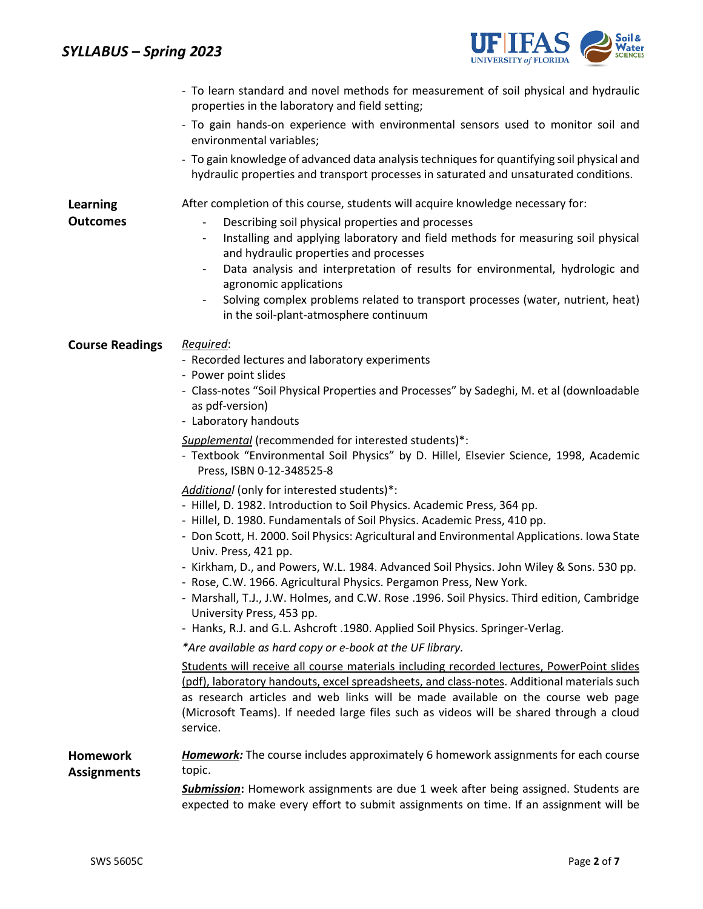### *SYLLABUS – Spring 2023*



|                                       | - To learn standard and novel methods for measurement of soil physical and hydraulic<br>properties in the laboratory and field setting;                                                                                                                                                                                                                                           |
|---------------------------------------|-----------------------------------------------------------------------------------------------------------------------------------------------------------------------------------------------------------------------------------------------------------------------------------------------------------------------------------------------------------------------------------|
|                                       | - To gain hands-on experience with environmental sensors used to monitor soil and<br>environmental variables;                                                                                                                                                                                                                                                                     |
|                                       | - To gain knowledge of advanced data analysis techniques for quantifying soil physical and<br>hydraulic properties and transport processes in saturated and unsaturated conditions.                                                                                                                                                                                               |
| <b>Learning</b>                       | After completion of this course, students will acquire knowledge necessary for:                                                                                                                                                                                                                                                                                                   |
| <b>Outcomes</b>                       | Describing soil physical properties and processes<br>$\overline{\phantom{a}}$<br>Installing and applying laboratory and field methods for measuring soil physical<br>and hydraulic properties and processes<br>Data analysis and interpretation of results for environmental, hydrologic and<br>$\overline{\phantom{a}}$<br>agronomic applications                                |
|                                       | Solving complex problems related to transport processes (water, nutrient, heat)<br>in the soil-plant-atmosphere continuum                                                                                                                                                                                                                                                         |
| <b>Course Readings</b>                | Required:<br>- Recorded lectures and laboratory experiments<br>- Power point slides                                                                                                                                                                                                                                                                                               |
|                                       | - Class-notes "Soil Physical Properties and Processes" by Sadeghi, M. et al (downloadable<br>as pdf-version)<br>- Laboratory handouts                                                                                                                                                                                                                                             |
|                                       |                                                                                                                                                                                                                                                                                                                                                                                   |
|                                       | Supplemental (recommended for interested students)*:<br>- Textbook "Environmental Soil Physics" by D. Hillel, Elsevier Science, 1998, Academic<br>Press, ISBN 0-12-348525-8                                                                                                                                                                                                       |
|                                       | Additional (only for interested students)*:                                                                                                                                                                                                                                                                                                                                       |
|                                       | - Hillel, D. 1982. Introduction to Soil Physics. Academic Press, 364 pp.                                                                                                                                                                                                                                                                                                          |
|                                       | - Hillel, D. 1980. Fundamentals of Soil Physics. Academic Press, 410 pp.<br>- Don Scott, H. 2000. Soil Physics: Agricultural and Environmental Applications. Iowa State<br>Univ. Press, 421 pp.                                                                                                                                                                                   |
|                                       | - Kirkham, D., and Powers, W.L. 1984. Advanced Soil Physics. John Wiley & Sons. 530 pp.<br>- Rose, C.W. 1966. Agricultural Physics. Pergamon Press, New York.<br>- Marshall, T.J., J.W. Holmes, and C.W. Rose .1996. Soil Physics. Third edition, Cambridge                                                                                                                       |
|                                       | University Press, 453 pp.                                                                                                                                                                                                                                                                                                                                                         |
|                                       | - Hanks, R.J. and G.L. Ashcroft .1980. Applied Soil Physics. Springer-Verlag.                                                                                                                                                                                                                                                                                                     |
|                                       | *Are available as hard copy or e-book at the UF library.                                                                                                                                                                                                                                                                                                                          |
|                                       | Students will receive all course materials including recorded lectures, PowerPoint slides<br>(pdf), laboratory handouts, excel spreadsheets, and class-notes. Additional materials such<br>as research articles and web links will be made available on the course web page<br>(Microsoft Teams). If needed large files such as videos will be shared through a cloud<br>service. |
| <b>Homework</b><br><b>Assignments</b> | <b>Homework:</b> The course includes approximately 6 homework assignments for each course<br>topic.                                                                                                                                                                                                                                                                               |
|                                       | Submission: Homework assignments are due 1 week after being assigned. Students are<br>expected to make every effort to submit assignments on time. If an assignment will be                                                                                                                                                                                                       |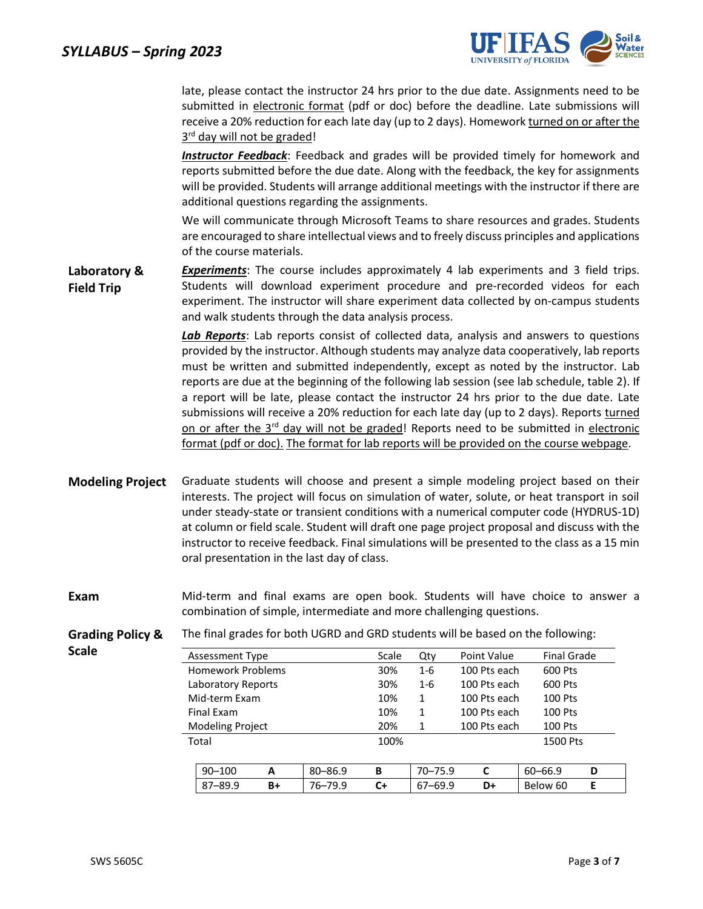

late, please contact the instructor 24 hrs prior to the due date. Assignments need to be submitted in electronic format (pdf or doc) before the deadline. Late submissions will receive a 20% reduction for each late day (up to 2 days). Homework turned on or after the 3<sup>rd</sup> day will not be graded!

*Instructor Feedback*: Feedback and grades will be provided timely for homework and reports submitted before the due date. Along with the feedback, the key for assignments will be provided. Students will arrange additional meetings with the instructor if there are additional questions regarding the assignments.

We will communicate through Microsoft Teams to share resources and grades. Students are encouraged to share intellectual views and to freely discuss principles and applications of the course materials.

**Laboratory & Field Trip** *Experiments*: The course includes approximately 4 lab experiments and 3 field trips. Students will download experiment procedure and pre-recorded videos for each experiment. The instructor will share experiment data collected by on-campus students and walk students through the data analysis process.

> *Lab Reports*: Lab reports consist of collected data, analysis and answers to questions provided by the instructor. Although students may analyze data cooperatively, lab reports must be written and submitted independently, except as noted by the instructor. Lab reports are due at the beginning of the following lab session (see lab schedule, table 2). If a report will be late, please contact the instructor 24 hrs prior to the due date. Late submissions will receive a 20% reduction for each late day (up to 2 days). Reports turned on or after the 3<sup>rd</sup> day will not be graded! Reports need to be submitted in electronic format (pdf or doc). The format for lab reports will be provided on the course webpage.

- **Modeling Project** Graduate students will choose and present a simple modeling project based on their interests. The project will focus on simulation of water, solute, or heat transport in soil under steady-state or transient conditions with a numerical computer code (HYDRUS-1D) at column or field scale. Student will draft one page project proposal and discuss with the instructor to receive feedback. Final simulations will be presented to the class as a 15 min oral presentation in the last day of class.
- **Exam** Mid-term and final exams are open book. Students will have choice to answer a combination of simple, intermediate and more challenging questions.
- **Grading Policy &**  The final grades for both UGRD and GRD students will be based on the following:

Assessment Type The Scale Qty Point Value Final Grade Homework Problems 30% 1-6 100 Pts each 600 Pts Laboratory Reports 30% 1-6 100 Pts each 600 Pts Mid-term Exam 10 10% 1 100 Pts each 100 Pts Final Exam 108 106 1 100 Pts each 100 Pts Modeling Project 20% 1 100 Pts each 100 Pts **Total** 100% 1500 Pts 90–100 **A** 80–86.9 **B** 70–75.9 **C** 60–66.9 **D** 87–89.9 **B+** 76–79.9 **C+** 67–69.9 **D+** Below 60 **E**

**Scale**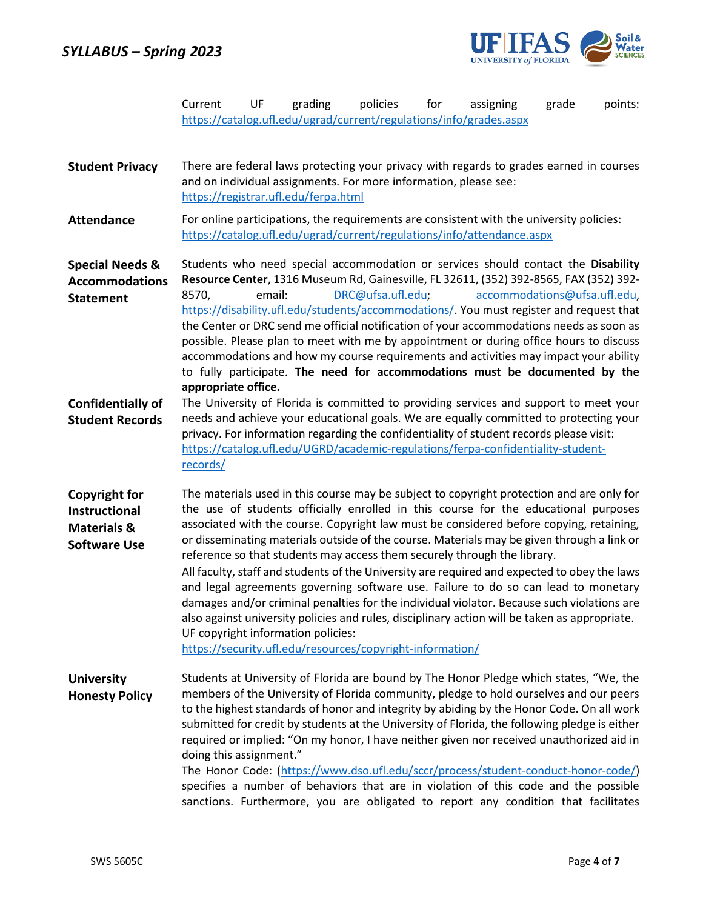

|                                                                                        | Current                      | UF     | grading                                                                                                  | policies          | for | assigning<br>https://catalog.ufl.edu/ugrad/current/regulations/info/grades.aspx                                                                                                                                                                                                                                                                                                                                                                                                                                                                                                                                                                                                                                                                                                                                                            | grade | points: |
|----------------------------------------------------------------------------------------|------------------------------|--------|----------------------------------------------------------------------------------------------------------|-------------------|-----|--------------------------------------------------------------------------------------------------------------------------------------------------------------------------------------------------------------------------------------------------------------------------------------------------------------------------------------------------------------------------------------------------------------------------------------------------------------------------------------------------------------------------------------------------------------------------------------------------------------------------------------------------------------------------------------------------------------------------------------------------------------------------------------------------------------------------------------------|-------|---------|
| <b>Student Privacy</b>                                                                 |                              |        | and on individual assignments. For more information, please see:<br>https://registrar.ufl.edu/ferpa.html |                   |     | There are federal laws protecting your privacy with regards to grades earned in courses                                                                                                                                                                                                                                                                                                                                                                                                                                                                                                                                                                                                                                                                                                                                                    |       |         |
| <b>Attendance</b>                                                                      |                              |        |                                                                                                          |                   |     | For online participations, the requirements are consistent with the university policies:<br>https://catalog.ufl.edu/ugrad/current/regulations/info/attendance.aspx                                                                                                                                                                                                                                                                                                                                                                                                                                                                                                                                                                                                                                                                         |       |         |
| <b>Special Needs &amp;</b><br><b>Accommodations</b><br><b>Statement</b>                | 8570,<br>appropriate office. | email: |                                                                                                          | DRC@ufsa.ufl.edu; |     | Students who need special accommodation or services should contact the Disability<br>Resource Center, 1316 Museum Rd, Gainesville, FL 32611, (352) 392-8565, FAX (352) 392-<br>accommodations@ufsa.ufl.edu,<br>https://disability.ufl.edu/students/accommodations/. You must register and request that<br>the Center or DRC send me official notification of your accommodations needs as soon as<br>possible. Please plan to meet with me by appointment or during office hours to discuss<br>accommodations and how my course requirements and activities may impact your ability<br>to fully participate. The need for accommodations must be documented by the                                                                                                                                                                         |       |         |
| <b>Confidentially of</b><br><b>Student Records</b>                                     | records/                     |        |                                                                                                          |                   |     | The University of Florida is committed to providing services and support to meet your<br>needs and achieve your educational goals. We are equally committed to protecting your<br>privacy. For information regarding the confidentiality of student records please visit:<br>https://catalog.ufl.edu/UGRD/academic-regulations/ferpa-confidentiality-student-                                                                                                                                                                                                                                                                                                                                                                                                                                                                              |       |         |
| <b>Copyright for</b><br>Instructional<br><b>Materials &amp;</b><br><b>Software Use</b> |                              |        | UF copyright information policies:<br>https://security.ufl.edu/resources/copyright-information/          |                   |     | The materials used in this course may be subject to copyright protection and are only for<br>the use of students officially enrolled in this course for the educational purposes<br>associated with the course. Copyright law must be considered before copying, retaining,<br>or disseminating materials outside of the course. Materials may be given through a link or<br>reference so that students may access them securely through the library.<br>All faculty, staff and students of the University are required and expected to obey the laws<br>and legal agreements governing software use. Failure to do so can lead to monetary<br>damages and/or criminal penalties for the individual violator. Because such violations are<br>also against university policies and rules, disciplinary action will be taken as appropriate. |       |         |
| <b>University</b><br><b>Honesty Policy</b>                                             | doing this assignment."      |        |                                                                                                          |                   |     | Students at University of Florida are bound by The Honor Pledge which states, "We, the<br>members of the University of Florida community, pledge to hold ourselves and our peers<br>to the highest standards of honor and integrity by abiding by the Honor Code. On all work<br>submitted for credit by students at the University of Florida, the following pledge is either<br>required or implied: "On my honor, I have neither given nor received unauthorized aid in<br>The Honor Code: (https://www.dso.ufl.edu/sccr/process/student-conduct-honor-code/)<br>specifies a number of behaviors that are in violation of this code and the possible<br>sanctions. Furthermore, you are obligated to report any condition that facilitates                                                                                              |       |         |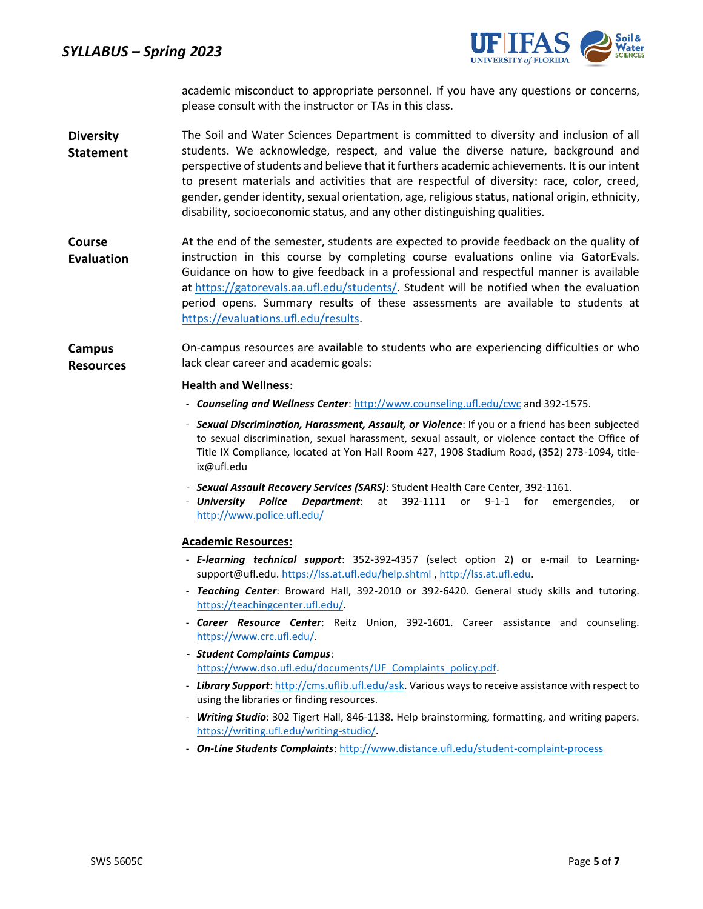*SYLLABUS – Spring 2023*



academic misconduct to appropriate personnel. If you have any questions or concerns, please consult with the instructor or TAs in this class.

- **Diversity Statement** The Soil and Water Sciences Department is committed to diversity and inclusion of all students. We acknowledge, respect, and value the diverse nature, background and perspective of students and believe that it furthers academic achievements. It is our intent to present materials and activities that are respectful of diversity: race, color, creed, gender, gender identity, sexual orientation, age, religious status, national origin, ethnicity, disability, socioeconomic status, and any other distinguishing qualities.
- **Course Evaluation** At the end of the semester, students are expected to provide feedback on the quality of instruction in this course by completing course evaluations online via GatorEvals. Guidance on how to give feedback in a professional and respectful manner is available at [https://gatorevals.aa.ufl.edu/students/.](https://gatorevals.aa.ufl.edu/students/) Student will be notified when the evaluation period opens. Summary results of these assessments are available to students at https://evaluations.ufl.edu/results.
- **Campus Resources** On-campus resources are available to students who are experiencing difficulties or who lack clear career and academic goals:

#### **Health and Wellness**:

- *Counseling and Wellness Center*[: http://www.counseling.ufl.edu/cwc](http://www.counseling.ufl.edu/cwc) and 392-1575.
- *Sexual Discrimination, Harassment, Assault, or Violence*: If you or a friend has been subjected to sexual discrimination, sexual harassment, sexual assault, or violence contact the Office of Title IX Compliance, located at Yon Hall Room 427, 1908 Stadium Road, (352) 273-1094, titleix@ufl.edu
- *Sexual Assault Recovery Services (SARS)*: Student Health Care Center, 392-1161.
- **University Police Department**: at 392-1111 or 9-1-1 for emergencies, or <http://www.police.ufl.edu/>

#### **Academic Resources:**

- *E-learning technical support*: 352-392-4357 (select option 2) or e-mail to Learningsupport@ufl.edu[. https://lss.at.ufl.edu/help.shtml](https://lss.at.ufl.edu/help.shtml) , [http://lss.at.ufl.edu.](http://lss.at.ufl.edu/)
- *Teaching Center*: Broward Hall, 392-2010 or 392-6420. General study skills and tutoring. [https://teachingcenter.ufl.edu/.](https://teachingcenter.ufl.edu/)
- *Career Resource Center*: Reitz Union, 392-1601. Career assistance and counseling. [https://www.crc.ufl.edu/.](https://www.crc.ufl.edu/)
- *Student Complaints Campus*: [https://www.dso.ufl.edu/documents/UF\\_Complaints\\_policy.pdf.](https://www.dso.ufl.edu/documents/UF_Complaints_policy.pdf)
- *Library Support*[: http://cms.uflib.ufl.edu/ask.](http://cms.uflib.ufl.edu/ask) Various ways to receive assistance with respect to using the libraries or finding resources.
- *Writing Studio*: 302 Tigert Hall, 846-1138. Help brainstorming, formatting, and writing papers. [https://writing.ufl.edu/writing-studio/.](https://writing.ufl.edu/writing-studio/)
- *On-Line Students Complaints*[: http://www.distance.ufl.edu/student-complaint-process](http://www.distance.ufl.edu/student-complaint-process)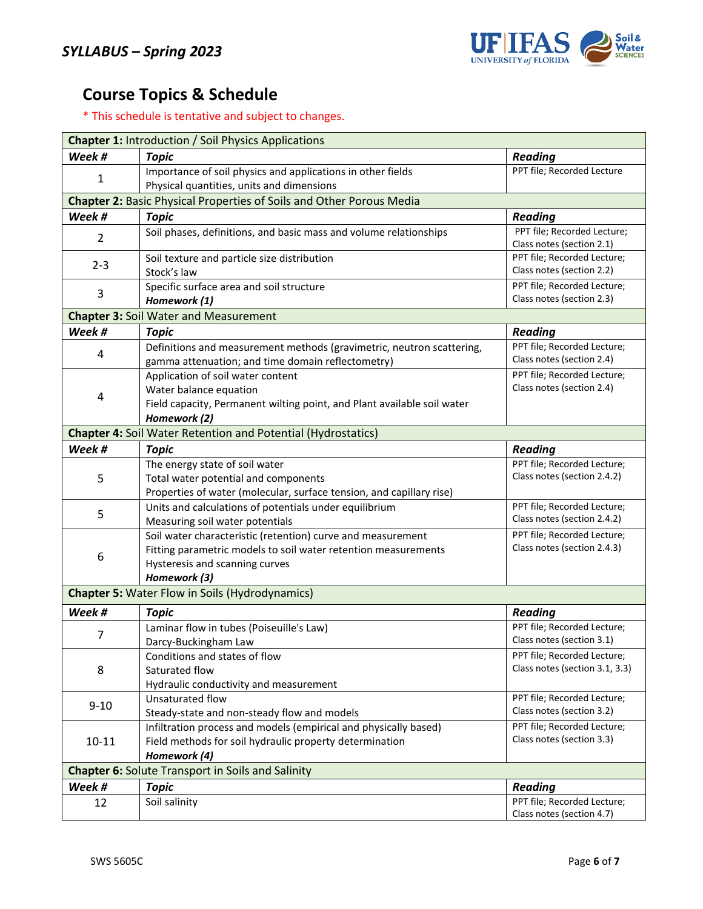

# **Course Topics & Schedule**

\* This schedule is tentative and subject to changes.

| <b>Chapter 1: Introduction / Soil Physics Applications</b>                  |                                                                         |                                |  |  |  |
|-----------------------------------------------------------------------------|-------------------------------------------------------------------------|--------------------------------|--|--|--|
| Week #                                                                      | <b>Topic</b>                                                            | <b>Reading</b>                 |  |  |  |
|                                                                             | Importance of soil physics and applications in other fields             | PPT file; Recorded Lecture     |  |  |  |
| 1                                                                           | Physical quantities, units and dimensions                               |                                |  |  |  |
| <b>Chapter 2: Basic Physical Properties of Soils and Other Porous Media</b> |                                                                         |                                |  |  |  |
| Week #                                                                      | <b>Topic</b>                                                            | <b>Reading</b>                 |  |  |  |
| $\overline{2}$                                                              | Soil phases, definitions, and basic mass and volume relationships       | PPT file; Recorded Lecture;    |  |  |  |
|                                                                             |                                                                         | Class notes (section 2.1)      |  |  |  |
| $2 - 3$                                                                     | Soil texture and particle size distribution                             | PPT file; Recorded Lecture;    |  |  |  |
|                                                                             | Stock's law                                                             | Class notes (section 2.2)      |  |  |  |
| 3                                                                           | Specific surface area and soil structure                                | PPT file; Recorded Lecture;    |  |  |  |
|                                                                             | Homework (1)                                                            | Class notes (section 2.3)      |  |  |  |
|                                                                             | <b>Chapter 3: Soil Water and Measurement</b>                            |                                |  |  |  |
| Week #                                                                      | <b>Topic</b>                                                            | <b>Reading</b>                 |  |  |  |
| 4                                                                           | Definitions and measurement methods (gravimetric, neutron scattering,   | PPT file; Recorded Lecture;    |  |  |  |
|                                                                             | gamma attenuation; and time domain reflectometry)                       | Class notes (section 2.4)      |  |  |  |
|                                                                             | Application of soil water content                                       | PPT file; Recorded Lecture;    |  |  |  |
| 4                                                                           | Water balance equation                                                  | Class notes (section 2.4)      |  |  |  |
|                                                                             | Field capacity, Permanent wilting point, and Plant available soil water |                                |  |  |  |
|                                                                             | Homework (2)                                                            |                                |  |  |  |
|                                                                             | <b>Chapter 4: Soil Water Retention and Potential (Hydrostatics)</b>     |                                |  |  |  |
| Week #                                                                      | <b>Topic</b>                                                            | <b>Reading</b>                 |  |  |  |
|                                                                             | The energy state of soil water                                          | PPT file; Recorded Lecture;    |  |  |  |
| 5                                                                           | Total water potential and components                                    | Class notes (section 2.4.2)    |  |  |  |
|                                                                             | Properties of water (molecular, surface tension, and capillary rise)    |                                |  |  |  |
| 5                                                                           | Units and calculations of potentials under equilibrium                  | PPT file; Recorded Lecture;    |  |  |  |
|                                                                             | Measuring soil water potentials                                         | Class notes (section 2.4.2)    |  |  |  |
|                                                                             | Soil water characteristic (retention) curve and measurement             | PPT file; Recorded Lecture;    |  |  |  |
| 6                                                                           | Fitting parametric models to soil water retention measurements          | Class notes (section 2.4.3)    |  |  |  |
|                                                                             | Hysteresis and scanning curves                                          |                                |  |  |  |
| Homework (3)                                                                |                                                                         |                                |  |  |  |
|                                                                             | <b>Chapter 5: Water Flow in Soils (Hydrodynamics)</b>                   |                                |  |  |  |
| Week #                                                                      | <b>Topic</b>                                                            | <b>Reading</b>                 |  |  |  |
| $\overline{7}$                                                              | Laminar flow in tubes (Poiseuille's Law)                                | PPT file; Recorded Lecture;    |  |  |  |
|                                                                             | Darcy-Buckingham Law                                                    | Class notes (section 3.1)      |  |  |  |
|                                                                             | Conditions and states of flow                                           | PPT file; Recorded Lecture;    |  |  |  |
| 8                                                                           | Saturated flow                                                          | Class notes (section 3.1, 3.3) |  |  |  |
|                                                                             | Hydraulic conductivity and measurement                                  |                                |  |  |  |
| $9 - 10$                                                                    | Unsaturated flow                                                        | PPT file; Recorded Lecture;    |  |  |  |
|                                                                             | Steady-state and non-steady flow and models                             | Class notes (section 3.2)      |  |  |  |
|                                                                             | Infiltration process and models (empirical and physically based)        | PPT file; Recorded Lecture;    |  |  |  |
| $10 - 11$                                                                   | Field methods for soil hydraulic property determination                 | Class notes (section 3.3)      |  |  |  |
|                                                                             | Homework (4)                                                            |                                |  |  |  |
| <b>Chapter 6: Solute Transport in Soils and Salinity</b>                    |                                                                         |                                |  |  |  |
| Week #                                                                      | <b>Topic</b>                                                            | <b>Reading</b>                 |  |  |  |
| 12                                                                          | Soil salinity                                                           | PPT file; Recorded Lecture;    |  |  |  |
|                                                                             |                                                                         | Class notes (section 4.7)      |  |  |  |